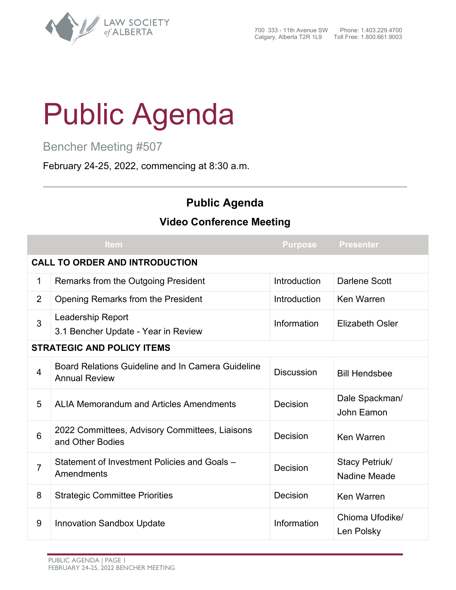

## Public Agenda

Bencher Meeting #507

February 24-25, 2022, commencing at 8:30 a.m.

## **Public Agenda**

## **Video Conference Meeting**

|                                       | Item                                                                      | <b>Purpose</b>    | <b>Presenter</b>               |  |  |
|---------------------------------------|---------------------------------------------------------------------------|-------------------|--------------------------------|--|--|
| <b>CALL TO ORDER AND INTRODUCTION</b> |                                                                           |                   |                                |  |  |
| 1                                     | Remarks from the Outgoing President                                       | Introduction      | <b>Darlene Scott</b>           |  |  |
| $\overline{2}$                        | Opening Remarks from the President                                        | Introduction      | Ken Warren                     |  |  |
| 3                                     | <b>Leadership Report</b><br>3.1 Bencher Update - Year in Review           | Information       | <b>Elizabeth Osler</b>         |  |  |
| <b>STRATEGIC AND POLICY ITEMS</b>     |                                                                           |                   |                                |  |  |
| 4                                     | Board Relations Guideline and In Camera Guideline<br><b>Annual Review</b> | <b>Discussion</b> | <b>Bill Hendsbee</b>           |  |  |
| 5                                     | <b>ALIA Memorandum and Articles Amendments</b>                            | Decision          | Dale Spackman/<br>John Eamon   |  |  |
| 6                                     | 2022 Committees, Advisory Committees, Liaisons<br>and Other Bodies        | Decision          | Ken Warren                     |  |  |
| $\overline{7}$                        | Statement of Investment Policies and Goals -<br>Amendments                | Decision          | Stacy Petriuk/<br>Nadine Meade |  |  |
| 8                                     | <b>Strategic Committee Priorities</b>                                     | Decision          | <b>Ken Warren</b>              |  |  |
| 9                                     | <b>Innovation Sandbox Update</b>                                          | Information       | Chioma Ufodike/<br>Len Polsky  |  |  |